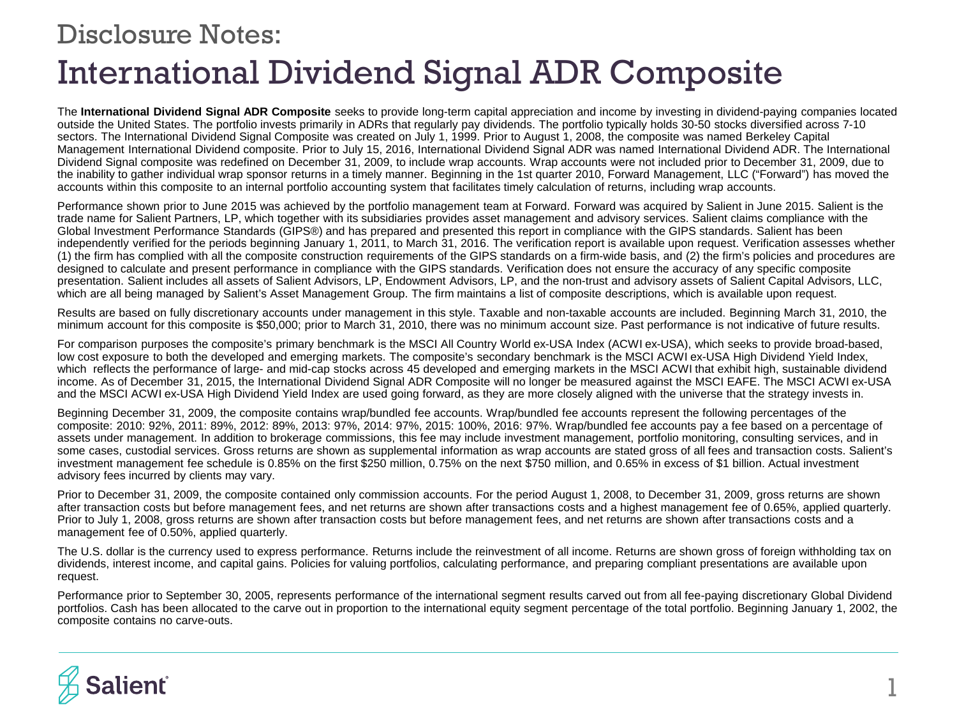## International Dividend Signal ADR Composite Disclosure Notes:

The **International Dividend Signal ADR Composite** seeks to provide long-term capital appreciation and income by investing in dividend-paying companies located outside the United States. The portfolio invests primarily in ADRs that regularly pay dividends. The portfolio typically holds 30-50 stocks diversified across 7-10 sectors. The International Dividend Signal Composite was created on July 1, 1999. Prior to August 1, 2008, the composite was named Berkeley Capital Management International Dividend composite. Prior to July 15, 2016, International Dividend Signal ADR was named International Dividend ADR. The International Dividend Signal composite was redefined on December 31, 2009, to include wrap accounts. Wrap accounts were not included prior to December 31, 2009, due to the inability to gather individual wrap sponsor returns in a timely manner. Beginning in the 1st quarter 2010, Forward Management, LLC ("Forward") has moved the accounts within this composite to an internal portfolio accounting system that facilitates timely calculation of returns, including wrap accounts.

Performance shown prior to June 2015 was achieved by the portfolio management team at Forward. Forward was acquired by Salient in June 2015. Salient is the trade name for Salient Partners, LP, which together with its subsidiaries provides asset management and advisory services. Salient claims compliance with the Global Investment Performance Standards (GIPS®) and has prepared and presented this report in compliance with the GIPS standards. Salient has been independently verified for the periods beginning January 1, 2011, to March 31, 2016. The verification report is available upon request. Verification assesses whether (1) the firm has complied with all the composite construction requirements of the GIPS standards on a firm-wide basis, and (2) the firm's policies and procedures are designed to calculate and present performance in compliance with the GIPS standards. Verification does not ensure the accuracy of any specific composite presentation. Salient includes all assets of Salient Advisors, LP, Endowment Advisors, LP, and the non-trust and advisory assets of Salient Capital Advisors, LLC, which are all being managed by Salient's Asset Management Group. The firm maintains a list of composite descriptions, which is available upon request.

Results are based on fully discretionary accounts under management in this style. Taxable and non-taxable accounts are included. Beginning March 31, 2010, the minimum account for this composite is \$50,000; prior to March 31, 2010, there was no minimum account size. Past performance is not indicative of future results.

For comparison purposes the composite's primary benchmark is the MSCI All Country World ex-USA Index (ACWI ex-USA), which seeks to provide broad-based, low cost exposure to both the developed and emerging markets. The composite's secondary benchmark is the MSCI ACWI ex-USA High Dividend Yield Index, which reflects the performance of large- and mid-cap stocks across 45 developed and emerging markets in the MSCI ACWI that exhibit high, sustainable dividend income. As of December 31, 2015, the International Dividend Signal ADR Composite will no longer be measured against the MSCI EAFE. The MSCI ACWI ex-USA and the MSCI ACWI ex-USA High Dividend Yield Index are used going forward, as they are more closely aligned with the universe that the strategy invests in.

Beginning December 31, 2009, the composite contains wrap/bundled fee accounts. Wrap/bundled fee accounts represent the following percentages of the composite: 2010: 92%, 2011: 89%, 2012: 89%, 2013: 97%, 2014: 97%, 2015: 100%, 2016: 97%. Wrap/bundled fee accounts pay a fee based on a percentage of assets under management. In addition to brokerage commissions, this fee may include investment management, portfolio monitoring, consulting services, and in some cases, custodial services. Gross returns are shown as supplemental information as wrap accounts are stated gross of all fees and transaction costs. Salient's investment management fee schedule is 0.85% on the first \$250 million, 0.75% on the next \$750 million, and 0.65% in excess of \$1 billion. Actual investment advisory fees incurred by clients may vary.

Prior to December 31, 2009, the composite contained only commission accounts. For the period August 1, 2008, to December 31, 2009, gross returns are shown after transaction costs but before management fees, and net returns are shown after transactions costs and a highest management fee of 0.65%, applied quarterly. Prior to July 1, 2008, gross returns are shown after transaction costs but before management fees, and net returns are shown after transactions costs and a management fee of 0.50%, applied quarterly.

The U.S. dollar is the currency used to express performance. Returns include the reinvestment of all income. Returns are shown gross of foreign withholding tax on dividends, interest income, and capital gains. Policies for valuing portfolios, calculating performance, and preparing compliant presentations are available upon request.

Performance prior to September 30, 2005, represents performance of the international segment results carved out from all fee-paying discretionary Global Dividend portfolios. Cash has been allocated to the carve out in proportion to the international equity segment percentage of the total portfolio. Beginning January 1, 2002, the composite contains no carve-outs.